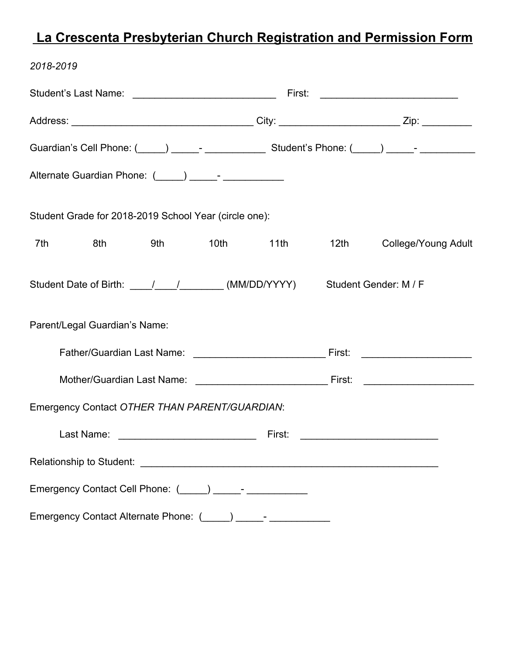## **La Crescenta Presbyterian Church Registration and Permission Form**

| 2018-2019                                                                                                                                                                                                                      |  |           |      |                                                  |
|--------------------------------------------------------------------------------------------------------------------------------------------------------------------------------------------------------------------------------|--|-----------|------|--------------------------------------------------|
|                                                                                                                                                                                                                                |  |           |      | First: ______________________________            |
|                                                                                                                                                                                                                                |  |           |      |                                                  |
| Guardian's Cell Phone: (Collection 2010) Contract Communication Student's Phone: (Collection 2011) Communication                                                                                                               |  |           |      |                                                  |
| Alternate Guardian Phone: (_____) _____- ____________                                                                                                                                                                          |  |           |      |                                                  |
| Student Grade for 2018-2019 School Year (circle one):                                                                                                                                                                          |  |           |      |                                                  |
| 7th<br>8th and the set<br>9th and the set of the set of the set of the set of the set of the set of the set of the set of the set of the                                                                                       |  | 10th 11th | 12th | College/Young Adult                              |
| Student Date of Birth: \building \building \building \building \building \building \building \building \building \building \building \building \building \building \building \building \building \building \building \building |  |           |      |                                                  |
| Parent/Legal Guardian's Name:                                                                                                                                                                                                  |  |           |      |                                                  |
|                                                                                                                                                                                                                                |  |           |      | <u> 1980 - Andrea Aonaich an t-Aonaich an t-</u> |
| Mother/Guardian Last Name: The Contract of the Contract of Tirst:                                                                                                                                                              |  |           |      | <u> 1980 - Jan Samuel Barbara, martin d</u>      |
| Emergency Contact OTHER THAN PARENT/GUARDIAN:                                                                                                                                                                                  |  |           |      |                                                  |
| Last Name:                                                                                                                                                                                                                     |  | First:    |      |                                                  |
|                                                                                                                                                                                                                                |  |           |      |                                                  |
| Emergency Contact Cell Phone: (_____) _____- ____________                                                                                                                                                                      |  |           |      |                                                  |
| Emergency Contact Alternate Phone: (Collection 2011) 2022-2022                                                                                                                                                                 |  |           |      |                                                  |